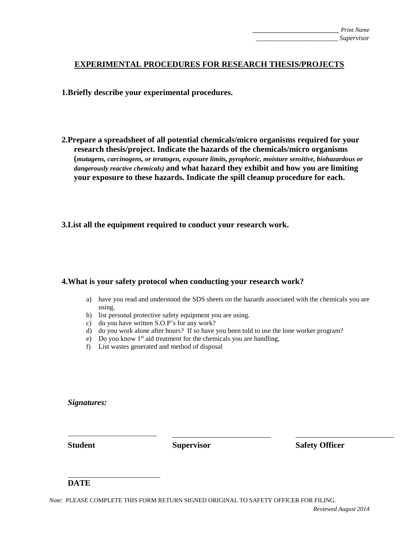## **EXPERIMENTAL PROCEDURES FOR RESEARCH THESIS/PROJECTS**

**1.Briefly describe your experimental procedures.**

**2.Prepare a spreadsheet of all potential chemicals/micro organisms required for your research thesis/project. Indicate the hazards of the chemicals/micro organisms (***mutagens, carcinogens, or teratogen, exposure limits, pyrophoric, moisture sensitive, biohazardous or dangerously reactive chemicals)* **and what hazard they exhibit and how you are limiting your exposure to these hazards. Indicate the spill cleanup procedure for each.** 

**3.List all the equipment required to conduct your research work.** 

## **4.What is your safety protocol when conducting your research work?**

- a) have you read and understood the SDS sheets on the hazards associated with the chemicals you are using.
- b) list personal protective safety equipment you are using.
- c) do you have written S.O.P's for any work?
- d) do you work alone after hours? If so have you been told to use the lone worker program?
- e) Do you know  $1<sup>st</sup>$  aid treatment for the chemicals you are handling,
- f) List wastes generated and method of disposal

*Signatures:*

**Student Supervisor Safety Officer**

## **DATE**

*Note*: PLEASE COMPLETE THIS FORM RETURN SIGNED ORIGINAL TO SAFETY OFFICER FOR FILING.

*Reviewed August 2014*